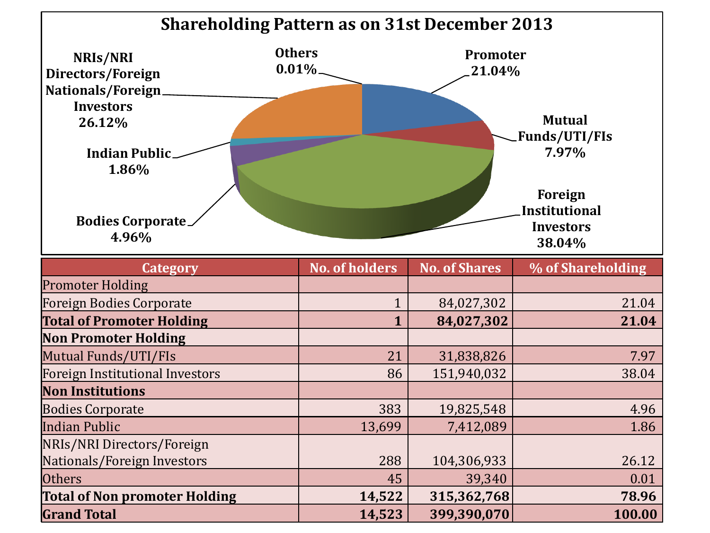

| <b>Total of Non promoter Holding</b><br><b>Grand Total</b> | 14,522<br>14,523 | 315,362,768<br>399,390,070 | 78.96<br>100.00 |
|------------------------------------------------------------|------------------|----------------------------|-----------------|
|                                                            |                  |                            |                 |
| <b>Others</b>                                              | 45               | 39,340                     | 0.01            |
| Nationals/Foreign Investors                                | 288              | 104,306,933                | 26.12           |
| NRIs/NRI Directors/Foreign                                 |                  |                            |                 |
| Indian Public                                              | 13,699           | 7,412,089                  | 1.86            |
| Bodies Corporate                                           | 383              | 19,825,548                 | 4.96            |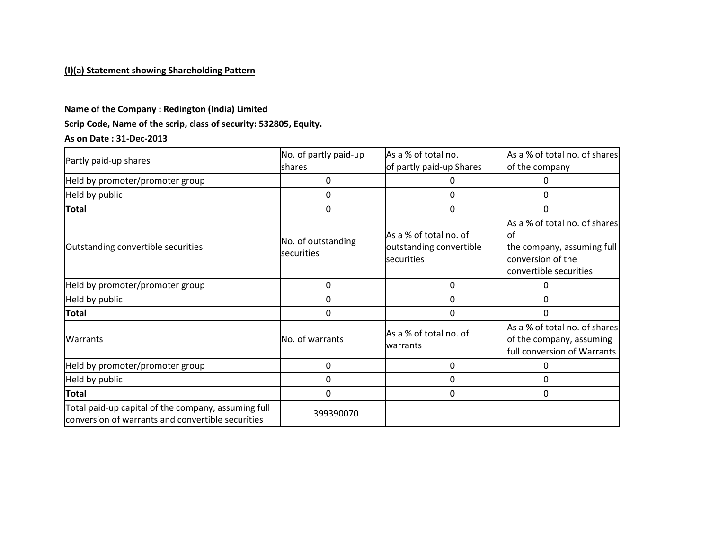## **(I)(a) Statement showing Shareholding Pattern**

#### **Name of the Company : Redington (India) Limited**

## **Scrip Code, Name of the scrip, class of security: 532805, Equity.**

#### **As on Date : 31-Dec-2013**

| Partly paid-up shares                                                                                    | No. of partly paid-up<br>shares  | As a % of total no.<br>of partly paid-up Shares                 | As a % of total no. of shares<br>of the company                                                                   |
|----------------------------------------------------------------------------------------------------------|----------------------------------|-----------------------------------------------------------------|-------------------------------------------------------------------------------------------------------------------|
| Held by promoter/promoter group                                                                          | $\Omega$                         | 0                                                               | Ω                                                                                                                 |
| Held by public                                                                                           | 0                                | 0                                                               | 0                                                                                                                 |
| <b>Total</b>                                                                                             | 0                                | 0                                                               | 0                                                                                                                 |
| Outstanding convertible securities                                                                       | No. of outstanding<br>securities | As a % of total no. of<br>outstanding convertible<br>securities | As a % of total no. of shares<br>lot<br>the company, assuming full<br>conversion of the<br>convertible securities |
| Held by promoter/promoter group                                                                          | 0                                | 0                                                               | 0                                                                                                                 |
| Held by public                                                                                           | $\Omega$                         | 0                                                               | 0                                                                                                                 |
| <b>Total</b>                                                                                             | 0                                | 0                                                               | 0                                                                                                                 |
| <b>Warrants</b>                                                                                          | No. of warrants                  | As a % of total no. of<br>warrants                              | As a % of total no. of shares<br>of the company, assuming<br>full conversion of Warrants                          |
| Held by promoter/promoter group                                                                          | 0                                | 0                                                               | 0                                                                                                                 |
| Held by public                                                                                           | 0                                | 0                                                               | 0                                                                                                                 |
| <b>Total</b>                                                                                             | 0                                | 0                                                               | 0                                                                                                                 |
| Total paid-up capital of the company, assuming full<br>conversion of warrants and convertible securities | 399390070                        |                                                                 |                                                                                                                   |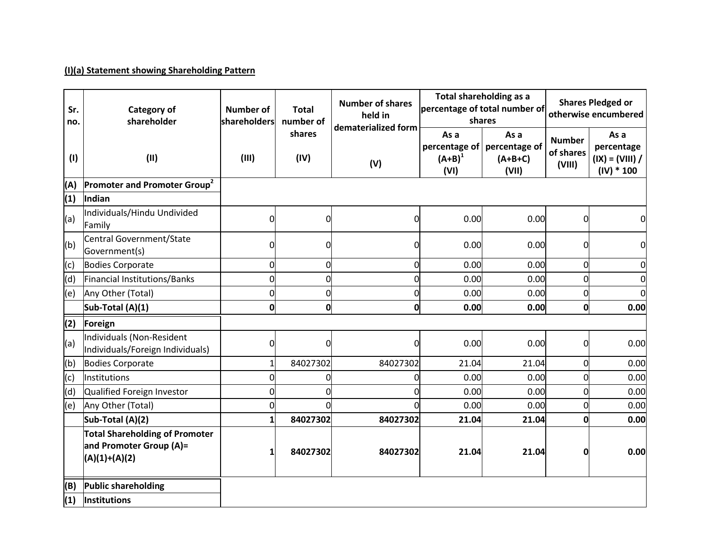## **(I)(a) Statement showing Shareholding Pattern**

| Sr.<br>no. | <b>Category of</b><br>shareholder                                                   | Number of<br>shareholders | <b>Total</b><br>number of | <b>Number of shares</b><br>held in<br>dematerialized form |                                            | Total shareholding as a<br>percentage of total number of<br>shares | <b>Shares Pledged or</b><br>otherwise encumbered |                                                         |
|------------|-------------------------------------------------------------------------------------|---------------------------|---------------------------|-----------------------------------------------------------|--------------------------------------------|--------------------------------------------------------------------|--------------------------------------------------|---------------------------------------------------------|
| (1)        | (II)                                                                                | (III)                     | shares<br>(IV)            | (V)                                                       | As a<br>percentage of<br>$(A+B)^1$<br>(VI) | As a<br>percentage of<br>$(A+B+C)$<br>(VII)                        | <b>Number</b><br>of shares<br>(VIII)             | As a<br>percentage<br>$(IX) = (VIII) /$<br>$(IV) * 100$ |
| (A)        | Promoter and Promoter Group <sup>2</sup>                                            |                           |                           |                                                           |                                            |                                                                    |                                                  |                                                         |
| (1)        | Indian                                                                              |                           |                           |                                                           |                                            |                                                                    |                                                  |                                                         |
| (a)        | Individuals/Hindu Undivided<br>Family                                               | 0                         | 0                         | $\Omega$                                                  | 0.00                                       | 0.00                                                               | $\Omega$                                         | 0                                                       |
| (b)        | Central Government/State<br>Government(s)                                           | 0                         | 0                         | 0                                                         | 0.00                                       | 0.00                                                               | 0                                                | $\mathbf 0$                                             |
| (c)        | <b>Bodies Corporate</b>                                                             | 0                         | O                         | $\Omega$                                                  | 0.00                                       | 0.00                                                               | $\Omega$                                         | 0                                                       |
| (d)        | Financial Institutions/Banks                                                        | 0                         | 0                         | $\overline{0}$                                            | 0.00                                       | 0.00                                                               | <sub>0</sub>                                     | $\mathbf 0$                                             |
| (e)        | Any Other (Total)                                                                   | 0                         | O                         | $\Omega$                                                  | 0.00                                       | 0.00                                                               | $\Omega$                                         | $\overline{0}$                                          |
|            | Sub-Total (A)(1)                                                                    | $\mathbf 0$               | 0                         | 0                                                         | 0.00                                       | 0.00                                                               | 0                                                | 0.00                                                    |
| (2)        | Foreign                                                                             |                           |                           |                                                           |                                            |                                                                    |                                                  |                                                         |
| (a)        | Individuals (Non-Resident<br>Individuals/Foreign Individuals)                       | 0                         | 0                         | 0                                                         | 0.00                                       | 0.00                                                               | 0                                                | 0.00                                                    |
| (b)        | <b>Bodies Corporate</b>                                                             |                           | 84027302                  | 84027302                                                  | 21.04                                      | 21.04                                                              | 0                                                | 0.00                                                    |
| (c)        | Institutions                                                                        | 0                         | 0                         | 0                                                         | 0.00                                       | 0.00                                                               | $\Omega$                                         | 0.00                                                    |
| (d)        | Qualified Foreign Investor                                                          | 0                         | 0                         | 0                                                         | 0.00                                       | 0.00                                                               | 0                                                | 0.00                                                    |
| (e)        | Any Other (Total)                                                                   | 0                         | 0                         | ŋ                                                         | 0.00                                       | 0.00                                                               | 0                                                | 0.00                                                    |
|            | Sub-Total (A)(2)                                                                    | 1                         | 84027302                  | 84027302                                                  | 21.04                                      | 21.04                                                              | O                                                | 0.00                                                    |
|            | <b>Total Shareholding of Promoter</b><br>and Promoter Group (A)=<br>$(A)(1)+(A)(2)$ |                           | 84027302                  | 84027302                                                  | 21.04                                      | 21.04                                                              | 0                                                | 0.00                                                    |
| (B)        | <b>Public shareholding</b>                                                          |                           |                           |                                                           |                                            |                                                                    |                                                  |                                                         |
| (1)        | Institutions                                                                        |                           |                           |                                                           |                                            |                                                                    |                                                  |                                                         |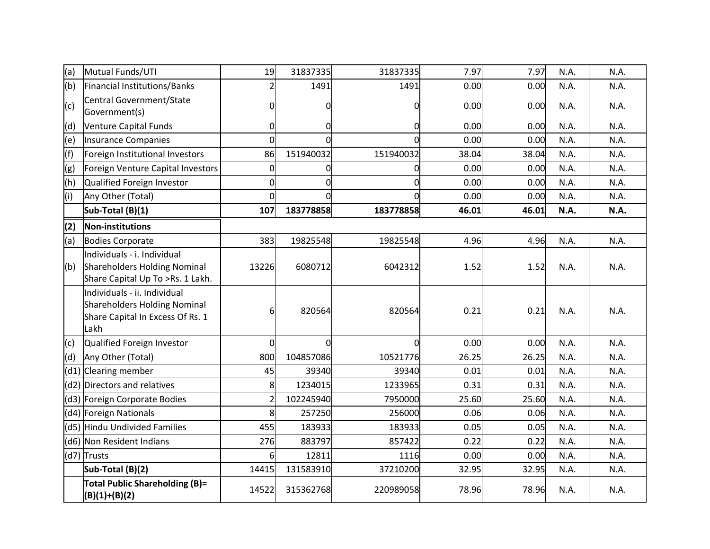| (a) | Mutual Funds/UTI                                                                                         | 19             | 31837335       | 31837335  | 7.97  | 7.97  | N.A. | N.A. |
|-----|----------------------------------------------------------------------------------------------------------|----------------|----------------|-----------|-------|-------|------|------|
| (b) | Financial Institutions/Banks                                                                             |                | 1491           | 1491      | 0.00  | 0.00  | N.A. | N.A. |
| (c) | Central Government/State<br>Government(s)                                                                | $\Omega$       | 0              | 0         | 0.00  | 0.00  | N.A. | N.A. |
| (d) | Venture Capital Funds                                                                                    | $\mathbf 0$    | $\overline{0}$ | 0         | 0.00  | 0.00  | N.A. | N.A. |
| (e) | Insurance Companies                                                                                      | $\Omega$       | $\overline{0}$ | $\Omega$  | 0.00  | 0.00  | N.A. | N.A. |
| (f) | Foreign Institutional Investors                                                                          | 86             | 151940032      | 151940032 | 38.04 | 38.04 | N.A. | N.A. |
| (g) | Foreign Venture Capital Investors                                                                        | $\overline{0}$ | 0              | 0         | 0.00  | 0.00  | N.A. | N.A. |
| (h) | Qualified Foreign Investor                                                                               | 0              | 0              | 0         | 0.00  | 0.00  | N.A. | N.A. |
| (i) | Any Other (Total)                                                                                        | $\overline{0}$ | 0              | $\Omega$  | 0.00  | 0.00  | N.A. | N.A. |
|     | Sub-Total (B)(1)                                                                                         | 107            | 183778858      | 183778858 | 46.01 | 46.01 | N.A. | N.A. |
| (2) | Non-institutions                                                                                         |                |                |           |       |       |      |      |
| (a) | <b>Bodies Corporate</b>                                                                                  | 383            | 19825548       | 19825548  | 4.96  | 4.96  | N.A. | N.A. |
| (b) | Individuals - i. Individual<br>Shareholders Holding Nominal<br>Share Capital Up To >Rs. 1 Lakh.          | 13226          | 6080712        | 6042312   | 1.52  | 1.52  | N.A. | N.A. |
|     | Individuals - ii. Individual<br>Shareholders Holding Nominal<br>Share Capital In Excess Of Rs. 1<br>Lakh | 6              | 820564         | 820564    | 0.21  | 0.21  | N.A. | N.A. |
| (c) | Qualified Foreign Investor                                                                               | $\Omega$       | $\Omega$       | $\Omega$  | 0.00  | 0.00  | N.A. | N.A. |
| (d) | Any Other (Total)                                                                                        | 800            | 104857086      | 10521776  | 26.25 | 26.25 | N.A. | N.A. |
|     | (d1) Clearing member                                                                                     | 45             | 39340          | 39340     | 0.01  | 0.01  | N.A. | N.A. |
|     | (d2) Directors and relatives                                                                             | 8              | 1234015        | 1233965   | 0.31  | 0.31  | N.A. | N.A. |
|     | (d3) Foreign Corporate Bodies                                                                            |                | 102245940      | 7950000   | 25.60 | 25.60 | N.A. | N.A. |
|     | (d4) Foreign Nationals                                                                                   | 8              | 257250         | 256000    | 0.06  | 0.06  | N.A. | N.A. |
|     | (d5) Hindu Undivided Families                                                                            | 455            | 183933         | 183933    | 0.05  | 0.05  | N.A. | N.A. |
|     | (d6) Non Resident Indians                                                                                | 276            | 883797         | 857422    | 0.22  | 0.22  | N.A. | N.A. |
|     | (d7) Trusts                                                                                              | 6              | 12811          | 1116      | 0.00  | 0.00  | N.A. | N.A. |
|     | Sub-Total (B)(2)                                                                                         | 14415          | 131583910      | 37210200  | 32.95 | 32.95 | N.A. | N.A. |
|     | <b>Total Public Shareholding (B)=</b><br>$(B)(1)+(B)(2)$                                                 | 14522          | 315362768      | 220989058 | 78.96 | 78.96 | N.A. | N.A. |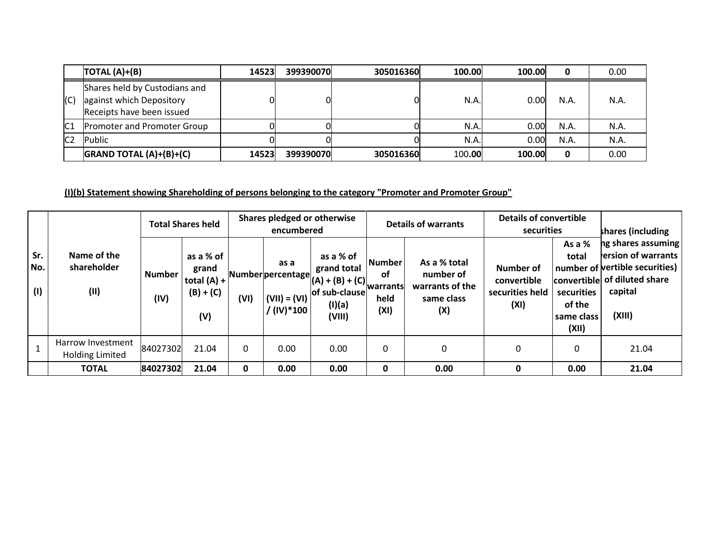|                 | $\overline{TOTAL(A)+}(B)$                                                              | 14523 | 399390070 | 305016360 | 100.00 | 100.00 | 0    | 0.00 |
|-----------------|----------------------------------------------------------------------------------------|-------|-----------|-----------|--------|--------|------|------|
| (C)             | Shares held by Custodians and<br>against which Depository<br>Receipts have been issued |       |           |           | N.A.   | 0.00   | N.A. | N.A. |
| C1              | <b>Promoter and Promoter Group</b>                                                     |       |           |           | N.A.   | 0.00   | N.A. | N.A. |
| IC <sub>2</sub> | Public                                                                                 |       |           |           | N.A.   | 0.00   | N.A. | N.A. |
|                 | $G$ RAND TOTAL $(A)+(B)+(C)$                                                           | 14523 | 399390070 | 305016360 | 100.00 | 100.00 | 0    | 0.00 |

# **(I)(b) Statement showing Shareholding of persons belonging to the category "Promoter and Promoter Group"**

|                   |                                             | <b>Total Shares held</b> |                                                           |      | Shares pledged or otherwise<br>encumbered                       |                                                                                      | <b>Details of warrants</b>                        |                                                                   | <b>Details of convertible</b><br>securities         |                                                                | shares (including                                                                                                               |
|-------------------|---------------------------------------------|--------------------------|-----------------------------------------------------------|------|-----------------------------------------------------------------|--------------------------------------------------------------------------------------|---------------------------------------------------|-------------------------------------------------------------------|-----------------------------------------------------|----------------------------------------------------------------|---------------------------------------------------------------------------------------------------------------------------------|
| Sr.<br>No.<br>(1) | Name of the<br>shareholder<br>(11)          | <b>Number</b><br>(IV)    | as a % of<br>grand<br>total $(A) +$<br>$(B) + (C)$<br>(V) | (VI) | as a<br>Number percentage<br>$(VII) = (VI)$<br>$/$ (IV) $*$ 100 | as a % of<br>grand total<br>$ (A) + (B) + (C) $<br>of sub-clause<br>(I)(a)<br>(VIII) | l Number<br><b>of</b><br>warrants<br>held<br>(XI) | As a % total<br>number of<br>warrants of the<br>same class<br>(X) | Number of<br>convertible<br>securities held<br>(XI) | As a %<br>total<br>securities<br>of the<br>same class<br>(XII) | ng shares assuming<br>ersion of warrants<br>number of vertible securities)<br>convertible of diluted share<br>capital<br>(XIII) |
|                   | Harrow Investment<br><b>Holding Limited</b> | 84027302                 | 21.04                                                     |      | 0.00                                                            | 0.00                                                                                 | 0                                                 | 0                                                                 | 0                                                   | 0                                                              | 21.04                                                                                                                           |
|                   | <b>TOTAL</b>                                | 84027302                 | 21.04                                                     | 0    | 0.00                                                            | 0.00                                                                                 | 0                                                 | 0.00                                                              | 0                                                   | 0.00                                                           | 21.04                                                                                                                           |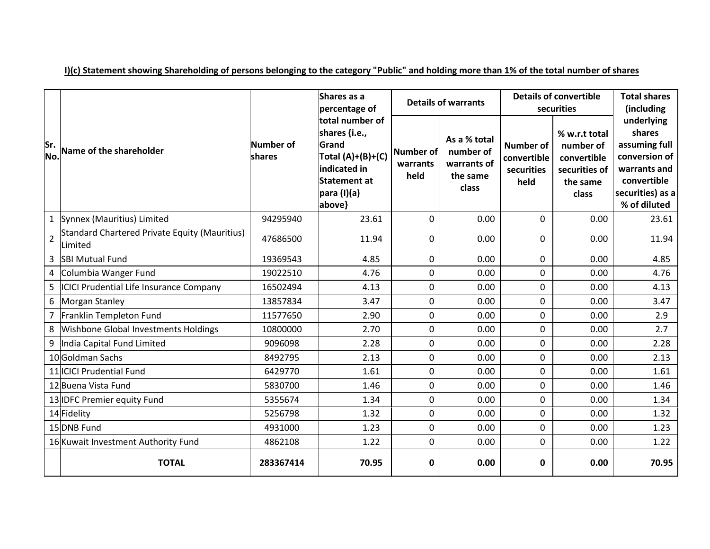|                |                                                          |                     | Shares as a<br>percentage of                                                                                              |                                      | <b>Details of warrants</b>                                    | <b>Details of convertible</b><br>securities           | <b>Total shares</b><br>(including                                               |                                                                                                                           |
|----------------|----------------------------------------------------------|---------------------|---------------------------------------------------------------------------------------------------------------------------|--------------------------------------|---------------------------------------------------------------|-------------------------------------------------------|---------------------------------------------------------------------------------|---------------------------------------------------------------------------------------------------------------------------|
| Sr.<br>No.     | Name of the shareholder                                  | Number of<br>shares | total number of<br>shares {i.e.,<br>Grand<br>$Total (A)+(B)+(C)$<br>indicated in<br>Statement at<br>para (I)(a)<br>above} | <b>Number of</b><br>warrants<br>held | As a % total<br>number of<br>warrants of<br>the same<br>class | <b>Number of</b><br>convertible<br>securities<br>held | % w.r.t total<br>number of<br>convertible<br>securities of<br>the same<br>class | underlying<br>shares<br>assuming full<br>conversion of<br>warrants and<br>convertible<br>securities) as a<br>% of diluted |
|                | 1 Synnex (Mauritius) Limited                             | 94295940            | 23.61                                                                                                                     | $\mathbf 0$                          | 0.00                                                          | $\mathbf 0$                                           | 0.00                                                                            | 23.61                                                                                                                     |
| $\overline{2}$ | Standard Chartered Private Equity (Mauritius)<br>Limited | 47686500            | 11.94                                                                                                                     | $\Omega$                             | 0.00                                                          | $\mathbf{0}$                                          | 0.00                                                                            | 11.94                                                                                                                     |
| 3              | <b>SBI Mutual Fund</b>                                   | 19369543            | 4.85                                                                                                                      | $\mathbf 0$                          | 0.00                                                          | $\mathbf 0$                                           | 0.00                                                                            | 4.85                                                                                                                      |
|                | 4 Columbia Wanger Fund                                   | 19022510            | 4.76                                                                                                                      | $\mathbf 0$                          | 0.00                                                          | $\mathbf 0$                                           | 0.00                                                                            | 4.76                                                                                                                      |
| 5              | ICICI Prudential Life Insurance Company                  | 16502494            | 4.13                                                                                                                      | 0                                    | 0.00                                                          | 0                                                     | 0.00                                                                            | 4.13                                                                                                                      |
| 6              | <b>Morgan Stanley</b>                                    | 13857834            | 3.47                                                                                                                      | $\mathbf 0$                          | 0.00                                                          | $\mathbf 0$                                           | 0.00                                                                            | 3.47                                                                                                                      |
| 7              | Franklin Templeton Fund                                  | 11577650            | 2.90                                                                                                                      | $\mathbf 0$                          | 0.00                                                          | $\mathbf 0$                                           | 0.00                                                                            | 2.9                                                                                                                       |
| 8              | Wishbone Global Investments Holdings                     | 10800000            | 2.70                                                                                                                      | $\mathbf 0$                          | 0.00                                                          | $\mathbf 0$                                           | 0.00                                                                            | 2.7                                                                                                                       |
| 9              | India Capital Fund Limited                               | 9096098             | 2.28                                                                                                                      | $\mathbf 0$                          | 0.00                                                          | $\mathbf 0$                                           | 0.00                                                                            | 2.28                                                                                                                      |
|                | 10 Goldman Sachs                                         | 8492795             | 2.13                                                                                                                      | $\mathbf 0$                          | 0.00                                                          | $\mathbf 0$                                           | 0.00                                                                            | 2.13                                                                                                                      |
|                | 11 ICICI Prudential Fund                                 | 6429770             | 1.61                                                                                                                      | $\mathbf 0$                          | 0.00                                                          | $\mathbf 0$                                           | 0.00                                                                            | 1.61                                                                                                                      |
|                | 12 Buena Vista Fund                                      | 5830700             | 1.46                                                                                                                      | $\mathbf 0$                          | 0.00                                                          | $\mathbf 0$                                           | 0.00                                                                            | 1.46                                                                                                                      |
|                | 13 <b>IDFC</b> Premier equity Fund                       | 5355674             | 1.34                                                                                                                      | $\mathbf 0$                          | 0.00                                                          | $\mathbf 0$                                           | 0.00                                                                            | 1.34                                                                                                                      |
|                | 14 Fidelity                                              | 5256798             | 1.32                                                                                                                      | $\mathbf 0$                          | 0.00                                                          | $\mathbf 0$                                           | 0.00                                                                            | 1.32                                                                                                                      |
|                | 15 DNB Fund                                              | 4931000             | 1.23                                                                                                                      | $\mathbf 0$                          | 0.00                                                          | $\mathbf 0$                                           | 0.00                                                                            | 1.23                                                                                                                      |
|                | 16 Kuwait Investment Authority Fund                      | 4862108             | 1.22                                                                                                                      | $\mathbf 0$                          | 0.00                                                          | $\mathbf 0$                                           | 0.00                                                                            | 1.22                                                                                                                      |
|                | <b>TOTAL</b>                                             | 283367414           | 70.95                                                                                                                     | 0                                    | 0.00                                                          | 0                                                     | 0.00                                                                            | 70.95                                                                                                                     |

**I)(c) Statement showing Shareholding of persons belonging to the category "Public" and holding more than 1% of the total number of shares**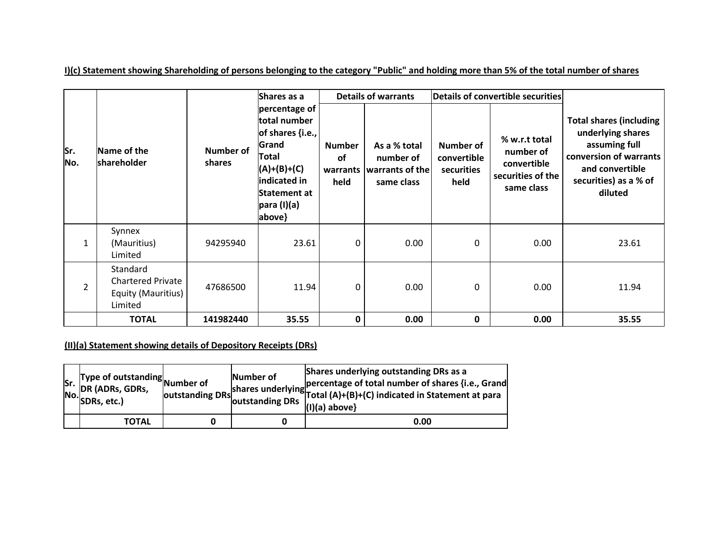**Sr. No. Name of the shareholder Number of shares Shares as a percentage of total number of shares {i.e., Grand Total (A)+(B)+(C) indicated in Statement at para (I)(a) above} Details of warrants Details of convertible securities Total shares (including underlying shares assuming full conversion of warrants and convertible securities) as a % of diluted Number of warrants held As a % total number of warrants of the same class Number of convertible securities held % w.r.t total number of convertible securities of the same class** 1 Synnex (Mauritius) Limited 94295940 | 23.61| 0| 0.00 | 0.00 | 0.00 | 23.61 2 Standard Chartered Private Equity (Mauritius) Limited 47686500 | 11.94| 0| 0.00 | 0 0.00 | 11.94 **TOTAL 141982440 35.55 0 0.00 0 0.00 35.55**

**I)(c) Statement showing Shareholding of persons belonging to the category "Public" and holding more than 5% of the total number of shares**

**(II)(a) Statement showing details of Depository Receipts (DRs)**

| lSr. | <b>Example 3</b> Type of outstanding Number of<br>DR (ADRs, GDRs,<br>$\left \text{No.}\right $ SDRs, etc.) | outstanding DRs | Number of<br>loutstanding DRs | Shares underlying outstanding DRs as a<br>shares underlying percentage of total number of shares {i.e., Grand<br>shares underlying Total (A)+(B)+(C) indicated in Statement at para<br>$(I)(a)$ above} |
|------|------------------------------------------------------------------------------------------------------------|-----------------|-------------------------------|--------------------------------------------------------------------------------------------------------------------------------------------------------------------------------------------------------|
|      | TOTAL                                                                                                      |                 |                               | 0.00                                                                                                                                                                                                   |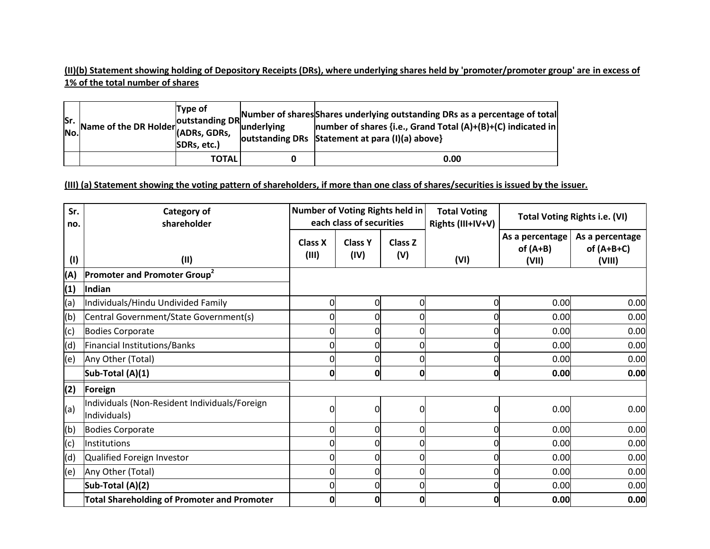**(II)(b) Statement showing holding of Depository Receipts (DRs), where underlying shares held by 'promoter/promoter group' are in excess of 1% of the total number of shares**

|  | SDRs, etc.)  | Sr.  <br>Name of the DR Holder  <br>  ADRs, GDRs,    Anderlying    number of shares {i.e. Grand Tetal (1) (1) (i)    ADRs, GDRs,    ADRS, GDRS,    AND    ADRS, GDRS,    AND    NUMBER OF Shares {i.e. Grand Tetal (1) (i) (iii) (ii<br>outstanding DRs Statement at para (I)(a) above} |
|--|--------------|-----------------------------------------------------------------------------------------------------------------------------------------------------------------------------------------------------------------------------------------------------------------------------------------|
|  | <b>TOTAL</b> | 0.00                                                                                                                                                                                                                                                                                    |

**(III) (a) Statement showing the voting pattern of shareholders, if more than one class of shares/securities is issued by the issuer.**

| Sr.<br>no. | <b>Category of</b><br>shareholder                             | Number of Voting Rights held in | each class of securities |                | <b>Total Voting</b><br>Rights (III+IV+V) |                                        | <b>Total Voting Rights i.e. (VI)</b>      |
|------------|---------------------------------------------------------------|---------------------------------|--------------------------|----------------|------------------------------------------|----------------------------------------|-------------------------------------------|
| (1)        | (II)                                                          | <b>Class X</b><br>(III)         | <b>Class Y</b><br>(IV)   | Class Z<br>(V) | (VI)                                     | As a percentage<br>of $(A+B)$<br>(VII) | As a percentage<br>of $(A+B+C)$<br>(VIII) |
| (A)        | Promoter and Promoter Group <sup>2</sup>                      |                                 |                          |                |                                          |                                        |                                           |
| (1)        | Indian                                                        |                                 |                          |                |                                          |                                        |                                           |
| (a)        | Individuals/Hindu Undivided Family                            | 0                               | $\overline{0}$           | O              | 0                                        | 0.00                                   | 0.00                                      |
| (b)        | Central Government/State Government(s)                        |                                 | 0                        |                |                                          | 0.00                                   | 0.00                                      |
| (c)        | <b>Bodies Corporate</b>                                       |                                 | 0                        |                |                                          | 0.00                                   | 0.00                                      |
| (d)        | <b>Financial Institutions/Banks</b>                           |                                 | $\Omega$                 |                |                                          | 0.00                                   | 0.00                                      |
| (e)        | Any Other (Total)                                             |                                 | 0                        |                |                                          | 0.00                                   | 0.00                                      |
|            | Sub-Total (A)(1)                                              | 0                               | 0                        | 0              | 0                                        | 0.00                                   | 0.00                                      |
| (2)        | Foreign                                                       |                                 |                          |                |                                          |                                        |                                           |
| (a)        | Individuals (Non-Resident Individuals/Foreign<br>Individuals) | O                               | 0                        |                | O                                        | 0.00                                   | 0.00                                      |
| (b)        | <b>Bodies Corporate</b>                                       | 0                               | $\overline{0}$           |                |                                          | 0.00                                   | 0.00                                      |
| (c)        | Institutions                                                  | O                               | 0                        |                |                                          | 0.00                                   | 0.00                                      |
| (d)        | Qualified Foreign Investor                                    | O                               | 0                        |                |                                          | 0.00                                   | 0.00                                      |
| (e)        | Any Other (Total)                                             |                                 | $\overline{0}$           |                |                                          | 0.00                                   | 0.00                                      |
|            | Sub-Total (A)(2)                                              |                                 | 0                        |                |                                          | 0.00                                   | 0.00                                      |
|            | Total Shareholding of Promoter and Promoter                   | 0                               | $\mathbf 0$              |                |                                          | 0.00                                   | 0.00                                      |